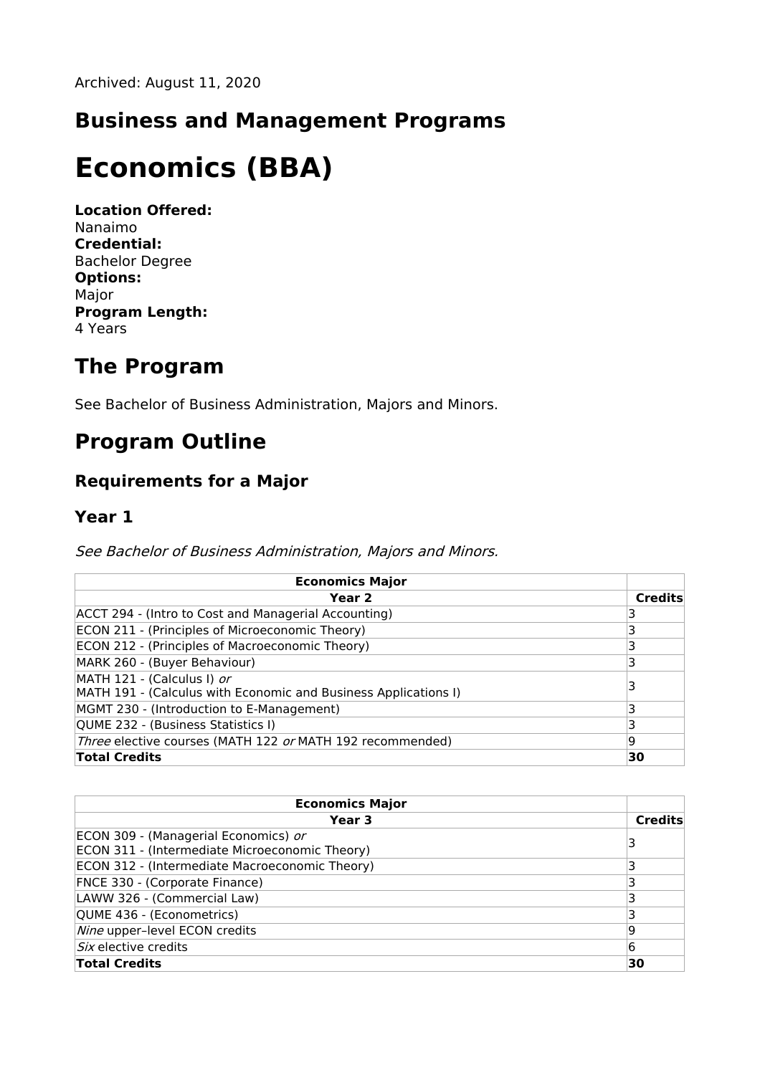## **Business and Management Programs**

# **Economics (BBA)**

**Location Offered:** Nanaimo **Credential:** Bachelor Degree **Options:** Major **Program Length:** 4 Years

## **The Program**

See Bachelor of Business Administration, Majors and Minors.

# **Program Outline**

### **Requirements for a Major**

#### **Year 1**

See Bachelor of Business Administration, Majors and Minors.

| <b>Economics Major</b>                                                                        |                |
|-----------------------------------------------------------------------------------------------|----------------|
| Year 2                                                                                        | <b>Credits</b> |
| ACCT 294 - (Intro to Cost and Managerial Accounting)                                          |                |
| ECON 211 - (Principles of Microeconomic Theory)                                               |                |
| ECON 212 - (Principles of Macroeconomic Theory)                                               |                |
| MARK 260 - (Buyer Behaviour)                                                                  | 3              |
| MATH 121 - (Calculus I) or<br>MATH 191 - (Calculus with Economic and Business Applications I) |                |
| MGMT 230 - (Introduction to E-Management)                                                     |                |
| QUME 232 - (Business Statistics I)                                                            |                |
| Three elective courses (MATH 122 or MATH 192 recommended)                                     | 19             |
| <b>Total Credits</b>                                                                          | 30             |

| <b>Economics Major</b>                         |                |
|------------------------------------------------|----------------|
| Year 3                                         | <b>Credits</b> |
| ECON 309 - (Managerial Economics) or           |                |
| ECON 311 - (Intermediate Microeconomic Theory) |                |
| ECON 312 - (Intermediate Macroeconomic Theory) |                |
| FNCE 330 - (Corporate Finance)                 |                |
| LAWW 326 - (Commercial Law)                    |                |
| QUME 436 - (Econometrics)                      |                |
| Nine upper-level ECON credits                  | 19             |
| Six elective credits                           | 6              |
| <b>Total Credits</b>                           | 30             |